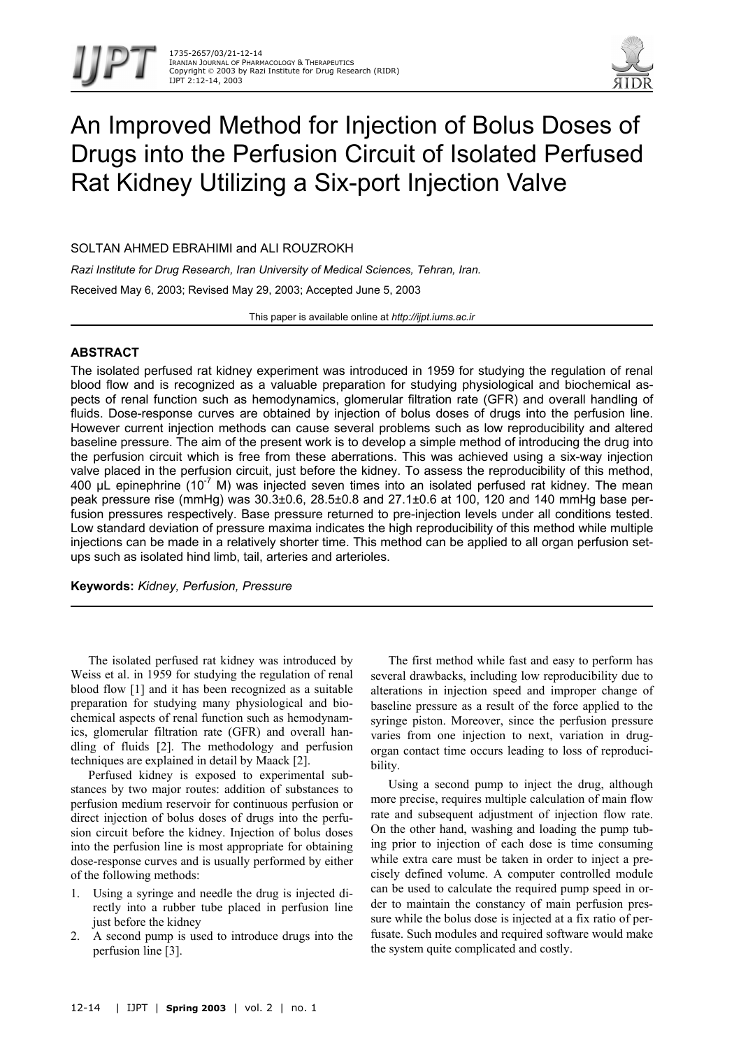



# An Improved Method for Injection of Bolus Doses of Drugs into the Perfusion Circuit of Isolated Perfused Rat Kidney Utilizing a Six-port Injection Valve

SOLTAN AHMED EBRAHIMI and ALI ROUZROKH

*Razi Institute for Drug Research, Iran University of Medical Sciences, Tehran, Iran.*  Received May 6, 2003; Revised May 29, 2003; Accepted June 5, 2003

This paper is available online at *http://ijpt.iums.ac.ir*

## **ABSTRACT**

The isolated perfused rat kidney experiment was introduced in 1959 for studying the regulation of renal blood flow and is recognized as a valuable preparation for studying physiological and biochemical aspects of renal function such as hemodynamics, glomerular filtration rate (GFR) and overall handling of fluids. Dose-response curves are obtained by injection of bolus doses of drugs into the perfusion line. However current injection methods can cause several problems such as low reproducibility and altered baseline pressure. The aim of the present work is to develop a simple method of introducing the drug into the perfusion circuit which is free from these aberrations. This was achieved using a six-way injection valve placed in the perfusion circuit, just before the kidney. To assess the reproducibility of this method, 400  $\mu$ L epinephrine (10<sup>-7</sup> M) was injected seven times into an isolated perfused rat kidney. The mean peak pressure rise (mmHg) was 30.3±0.6, 28.5±0.8 and 27.1±0.6 at 100, 120 and 140 mmHg base perfusion pressures respectively. Base pressure returned to pre-injection levels under all conditions tested. Low standard deviation of pressure maxima indicates the high reproducibility of this method while multiple injections can be made in a relatively shorter time. This method can be applied to all organ perfusion setups such as isolated hind limb, tail, arteries and arterioles.

**Keywords:** *Kidney, Perfusion, Pressure*

The isolated perfused rat kidney was introduced by Weiss et al. in 1959 for studying the regulation of renal blood flow [1] and it has been recognized as a suitable preparation for studying many physiological and biochemical aspects of renal function such as hemodynamics, glomerular filtration rate (GFR) and overall handling of fluids [2]. The methodology and perfusion techniques are explained in detail by Maack [2].

Perfused kidney is exposed to experimental substances by two major routes: addition of substances to perfusion medium reservoir for continuous perfusion or direct injection of bolus doses of drugs into the perfusion circuit before the kidney. Injection of bolus doses into the perfusion line is most appropriate for obtaining dose-response curves and is usually performed by either of the following methods:

- 1. Using a syringe and needle the drug is injected directly into a rubber tube placed in perfusion line just before the kidney
- 2. A second pump is used to introduce drugs into the perfusion line [3].

The first method while fast and easy to perform has several drawbacks, including low reproducibility due to alterations in injection speed and improper change of baseline pressure as a result of the force applied to the syringe piston. Moreover, since the perfusion pressure varies from one injection to next, variation in drugorgan contact time occurs leading to loss of reproducibility.

Using a second pump to inject the drug, although more precise, requires multiple calculation of main flow rate and subsequent adjustment of injection flow rate. On the other hand, washing and loading the pump tubing prior to injection of each dose is time consuming while extra care must be taken in order to inject a precisely defined volume. A computer controlled module can be used to calculate the required pump speed in order to maintain the constancy of main perfusion pressure while the bolus dose is injected at a fix ratio of perfusate. Such modules and required software would make the system quite complicated and costly.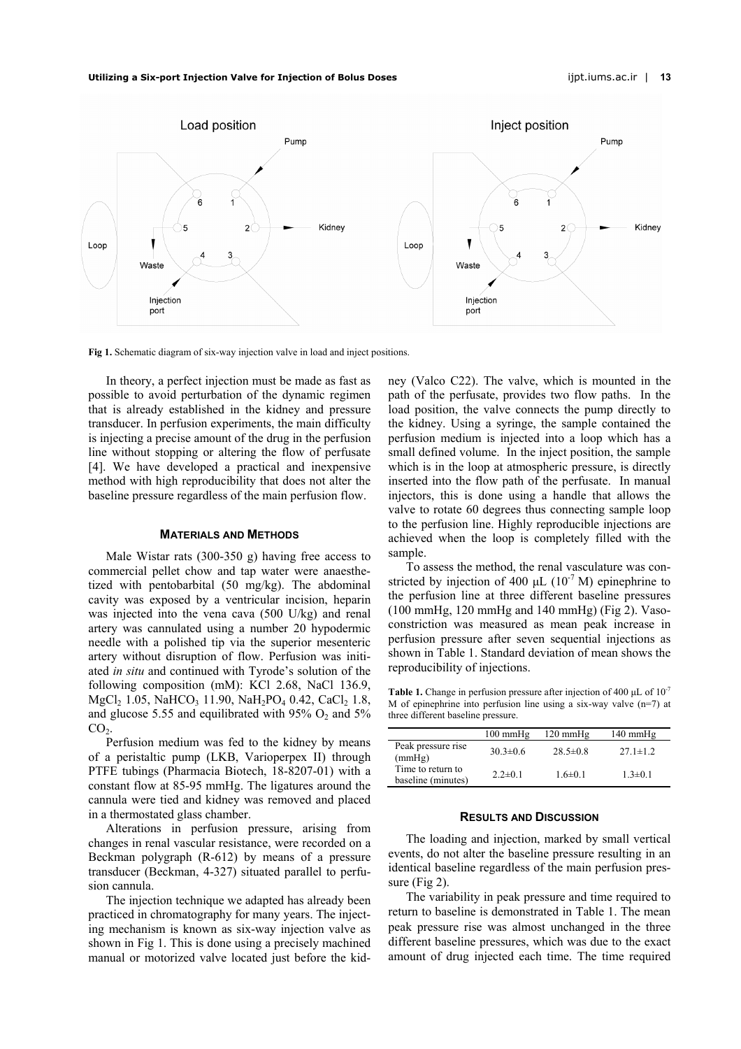#### **Utilizing a Six-port Injection Valve for Injection of Bolus Doses** ijpt.iums.ac.ir | **13**



<span id="page-1-0"></span>**Fig 1.** Schematic diagram of six-way injection valve in load and inject positions.

In theory, a perfect injection must be made as fast as possible to avoid perturbation of the dynamic regimen that is already established in the kidney and pressure transducer. In perfusion experiments, the main difficulty is injecting a precise amount of the drug in the perfusion line without stopping or altering the flow of perfusate [4]. We have developed a practical and inexpensive method with high reproducibility that does not alter the baseline pressure regardless of the main perfusion flow.

#### **MATERIALS AND METHODS**

Male Wistar rats (300-350 g) having free access to commercial pellet chow and tap water were anaesthetized with pentobarbital (50 mg/kg). The abdominal cavity was exposed by a ventricular incision, heparin was injected into the vena cava (500 U/kg) and renal artery was cannulated using a number 20 hypodermic needle with a polished tip via the superior mesenteric artery without disruption of flow. Perfusion was initiated *in situ* and continued with Tyrode's solution of the following composition (mM): KCl 2.68, NaCl 136.9, MgCl<sub>2</sub> 1.05, NaHCO<sub>3</sub> 11.90, NaH<sub>2</sub>PO<sub>4</sub> 0.42, CaCl<sub>2</sub> 1.8, and glucose 5.55 and equilibrated with 95%  $O_2$  and 5%  $CO<sub>2</sub>$ .

Perfusion medium was fed to the kidney by means of a peristaltic pump (LKB, Varioperpex II) through PTFE tubings (Pharmacia Biotech, 18-8207-01) with a constant flow at 85-95 mmHg. The ligatures around the cannula were tied and kidney was removed and placed in a thermostated glass chamber.

Alterations in perfusion pressure, arising from changes in renal vascular resistance, were recorded on a Beckman polygraph (R-612) by means of a pressure transducer (Beckman, 4-327) situated parallel to perfusion cannula.

The injection technique we adapted has already been practiced in chromatography for many years. The injecting mechanism is known as six-way injection valve as shown in [Fig 1.](#page-1-0) This is done using a precisely machined manual or motorized valve located just before the kidney (Valco C22). The valve, which is mounted in the path of the perfusate, provides two flow paths. In the load position, the valve connects the pump directly to the kidney. Using a syringe, the sample contained the perfusion medium is injected into a loop which has a small defined volume. In the inject position, the sample which is in the loop at atmospheric pressure, is directly inserted into the flow path of the perfusate. In manual injectors, this is done using a handle that allows the valve to rotate 60 degrees thus connecting sample loop to the perfusion line. Highly reproducible injections are achieved when the loop is completely filled with the sample.

To assess the method, the renal vasculature was constricted by injection of 400  $\mu$ L (10<sup>-7</sup> M) epinephrine to the perfusion line at three different baseline pressures (100 mmHg, 120 mmHg and 140 mmHg) (Fig 2). Vasoconstriction was measured as mean peak increase in perfusion pressure after seven sequential injections as shown in [Table 1.](#page-1-1) Standard deviation of mean shows the reproducibility of injections.

<span id="page-1-1"></span>**Table 1.** Change in perfusion pressure after injection of 400  $\mu$ L of 10<sup>-7</sup> M of epinephrine into perfusion line using a six-way valve  $(n=7)$  at three different baseline pressure.

|                                         | $100 \text{ mmHg}$ | $120 \text{ mm}$ Hg | $140 \text{ mmHg}$ |
|-----------------------------------------|--------------------|---------------------|--------------------|
| Peak pressure rise<br>(mmHg)            | $30.3 \pm 0.6$     | $28.5 \pm 0.8$      | $27.1 \pm 1.2$     |
| Time to return to<br>baseline (minutes) | $2.2 \pm 0.1$      | $1.6 \pm 0.1$       | $1.3 \pm 0.1$      |

#### **RESULTS AND DISCUSSION**

The loading and injection, marked by small vertical events, do not alter the baseline pressure resulting in an identical baseline regardless of the main perfusion pressure (Fig 2).

The variability in peak pressure and time required to return to baseline is demonstrated in Table 1. The mean peak pressure rise was almost unchanged in the three different baseline pressures, which was due to the exact amount of drug injected each time. The time required